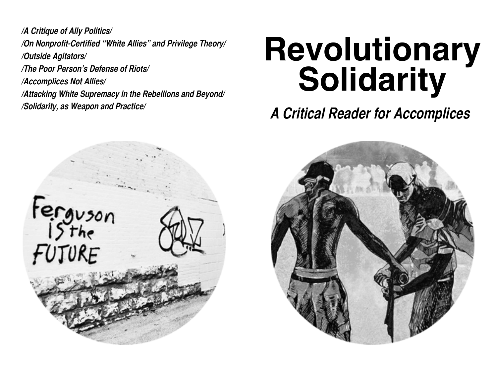**/A Critique of Ally Politics/ /On Nonprofit-Certified "White Allies" and Privilege Theory/ /Outside Agitators/ /The Poor Person's Defense of Riots/ /Accomplices Not Allies/ /Attacking White Supremacy in the Rebellions and Beyond/ /Solidarity, as Weapon and Practice/**

# **Revolutionary Solidarity**

### **A Critical Reader for Accomplices**



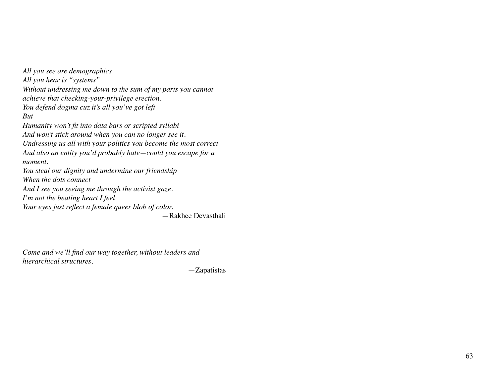*All you see are demographics All you hear is "systems" Without undressing me down to the sum of my parts you cannot achieve that checking-your-privilege erection. You defend dogma cuz it's all you've got left But Humanity won't fit into data bars or scripted syllabi And won't stick around when you can no longer see it. Undressing us all with your politics you become the most correct And also an entity you'd probably hate—could you escape for a moment. You steal our dignity and undermine our friendship When the dots connect And I see you seeing me through the activist gaze. I'm not the beating heart I feel Your eyes just reflect a female queer blob of color.* 

—Rakhee Devasthali

*Come and we'll find our way together, without leaders and hierarchical structures.*

—Zapatistas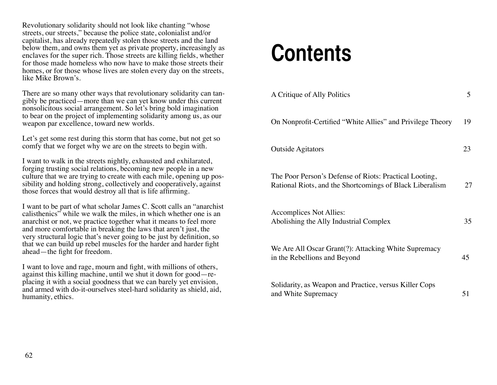Revolutionary solidarity should not look like chanting "whose streets, our streets," because the police state, colonialist and/or capitalist, has already repeatedly stolen those streets and the land below them, and owns them yet as private property, increasingly as enclaves for the super rich. Those streets are killing fields, whether for those made homeless who now have to make those streets their homes, or for those whose lives are stolen every day on the streets, like Mike Brown's.

There are so many other ways that revolutionary solidarity can tangibly be practiced—more than we can yet know under this current nonsolicitous social arrangement. So let's bring bold imagination to bear on the project of implementing solidarity among us, as our weapon par excellence, toward new worlds.

Let's get some rest during this storm that has come, but not get so comfy that we forget why we are on the streets to begin with.

I want to walk in the streets nightly, exhausted and exhilarated, forging trusting social relations, becoming new people in a new culture that we are trying to create with each mile, opening up possibility and holding strong, collectively and cooperatively, against those forces that would destroy all that is life affirming.

I want to be part of what scholar James C. Scott calls an "anarchist calisthenics" while we walk the miles, in which whether one is an anarchist or not, we practice together what it means to feel more and more comfortable in breaking the laws that aren't just, the very structural logic that's never going to be just by definition, so that we can build up rebel muscles for the harder and harder fight ahead—the fight for freedom.

I want to love and rage, mourn and fight, with millions of others, against this killing machine, until we shut it down for good—replacing it with a social goodness that we can barely yet envision, and armed with do-it-ourselves steel-hard solidarity as shield, aid, humanity, ethics.

# **Contents**

| A Critique of Ally Politics                                                                                        | 5  |
|--------------------------------------------------------------------------------------------------------------------|----|
| On Nonprofit-Certified "White Allies" and Privilege Theory                                                         | 19 |
| Outside Agitators                                                                                                  | 23 |
| The Poor Person's Defense of Riots: Practical Looting,<br>Rational Riots, and the Shortcomings of Black Liberalism | 27 |
| <b>Accomplices Not Allies:</b><br>Abolishing the Ally Industrial Complex                                           | 35 |
| We Are All Oscar Grant(?): Attacking White Supremacy<br>in the Rebellions and Beyond                               | 45 |
| Solidarity, as Weapon and Practice, versus Killer Cops<br>and White Supremacy                                      | 51 |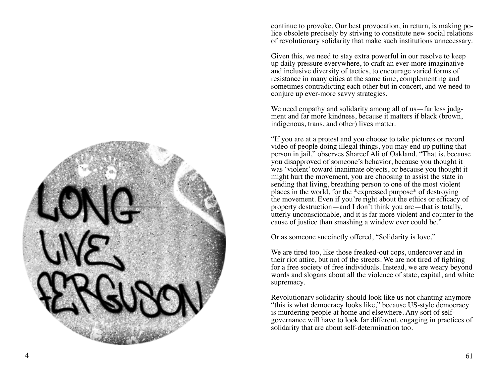

continue to provoke. Our best provocation, in return, is making police obsolete precisely by striving to constitute new social relations of revolutionary solidarity that make such institutions unnecessary.

Given this, we need to stay extra powerful in our resolve to keep up daily pressure everywhere, to craft an ever-more imaginative and inclusive diversity of tactics, to encourage varied forms of resistance in many cities at the same time, complementing and sometimes contradicting each other but in concert, and we need to conjure up ever-more savvy strategies.

We need empathy and solidarity among all of us—far less judgment and far more kindness, because it matters if black (brown, indigenous, trans, and other) lives matter.

"If you are at a protest and you choose to take pictures or record video of people doing illegal things, you may end up putting that person in jail," observes Shareef Ali of Oakland. "That is, because you disapproved of someone's behavior, because you thought it was 'violent' toward inanimate objects, or because you thought it might hurt the movement, you are choosing to assist the state in sending that living, breathing person to one of the most violent places in the world, for the \*expressed purpose\* of destroying the movement. Even if you're right about the ethics or efficacy of property destruction—and I don't think you are—that is totally, utterly unconscionable, and it is far more violent and counter to the cause of justice than smashing a window ever could be."

Or as someone succinctly offered, "Solidarity is love."

We are tired too, like those freaked-out cops, undercover and in their riot attire, but not of the streets. We are not tired of fighting for a free society of free individuals. Instead, we are weary beyond words and slogans about all the violence of state, capital, and white supremacy.

Revolutionary solidarity should look like us not chanting anymore "this is what democracy looks like," because US-style democracy is murdering people at home and elsewhere. Any sort of selfgovernance will have to look far different, engaging in practices of solidarity that are about self-determination too.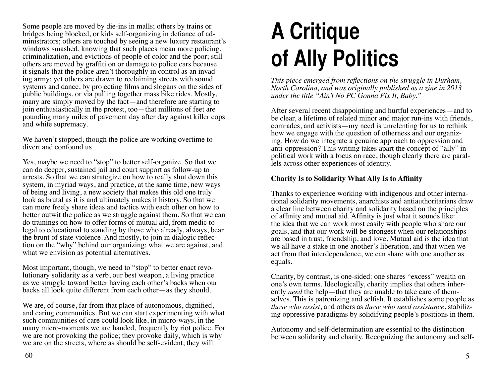Some people are moved by die-ins in malls; others by trains or bridges being blocked, or kids self-organizing in defiance of administrators; others are touched by seeing a new luxury restaurant's windows smashed, knowing that such places mean more policing, criminalization, and evictions of people of color and the poor; still others are moved by graffiti on or damage to police cars because it signals that the police aren't thoroughly in control as an invading army; yet others are drawn to reclaiming streets with sound systems and dance, by projecting films and slogans on the sides of public buildings, or via pulling together mass bike rides. Mostly, many are simply moved by the fact—and therefore are starting to join enthusiastically in the protest, too—that millions of feet are pounding many miles of pavement day after day against killer cops and white supremacy.

We haven't stopped, though the police are working overtime to divert and confound us.

Yes, maybe we need to "stop" to better self-organize. So that we can do deeper, sustained jail and court support as follow-up to arrests. So that we can strategize on how to really shut down this system, in myriad ways, and practice, at the same time, new ways of being and living, a new society that makes this old one truly look as brutal as it is and ultimately makes it history. So that we can more freely share ideas and tactics with each other on how to better outwit the police as we struggle against them. So that we can do trainings on how to offer forms of mutual aid, from medic to legal to educational to standing by those who already, always, bear the brunt of state violence. And mostly, to join in dialogic reflection on the "why" behind our organizing: what we are against, and what we envision as potential alternatives.

Most important, though, we need to "stop" to better enact revolutionary solidarity as a verb, our best weapon, a living practice as we struggle toward better having each other's backs when our backs all look quite different from each other—as they should.

We are, of course, far from that place of autonomous, dignified, and caring communities. But we can start experimenting with what such communities of care could look like, in micro-ways, in the many micro-moments we are handed, frequently by riot police. For we are not provoking the police; they provoke daily, which is why we are on the streets, where as should be self-evident, they will

# **A Critique of Ally Politics**

*This piece emerged from reflections on the struggle in Durham, North Carolina, and was originally published as a zine in 2013 under the title "Ain't No PC Gonna Fix It, Baby."*

After several recent disappointing and hurtful experiences—and to be clear, a lifetime of related minor and major run-ins with friends, comrades, and activists—my need is unrelenting for us to rethink how we engage with the question of otherness and our organizing. How do we integrate a genuine approach to oppression and anti-oppression? This writing takes apart the concept of "ally" in political work with a focus on race, though clearly there are parallels across other experiences of identity.

### **Charity Is to Solidarity What Ally Is to Affinity**

Thanks to experience working with indigenous and other international solidarity movements, anarchists and antiauthoritarians draw a clear line between charity and solidarity based on the principles of affinity and mutual aid. Affinity is just what it sounds like: the idea that we can work most easily with people who share our goals, and that our work will be strongest when our relationships are based in trust, friendship, and love. Mutual aid is the idea that we all have a stake in one another's liberation, and that when we act from that interdependence, we can share with one another as equals.

Charity, by contrast, is one-sided: one shares "excess" wealth on one's own terms. Ideologically, charity implies that others inherently *need* the help—that they are unable to take care of themselves. This is patronizing and selfish. It establishes some people as *those who assist*, and others as *those who need assistance*, stabilizing oppressive paradigms by solidifying people's positions in them.

Autonomy and self-determination are essential to the distinction between solidarity and charity. Recognizing the autonomy and self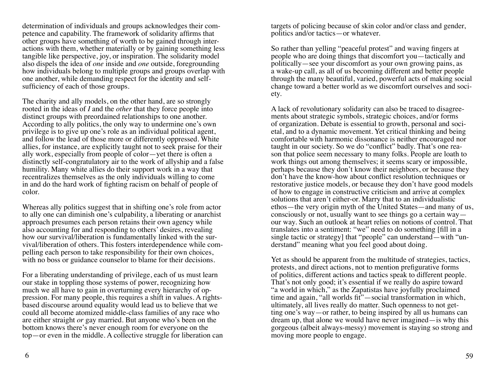determination of individuals and groups acknowledges their competence and capability. The framework of solidarity affirms that other groups have something of worth to be gained through interactions with them, whether materially or by gaining something less tangible like perspective, joy, or inspiration. The solidarity model also dispels the idea of *one* inside and *one* outside, foregrounding how individuals belong to multiple groups and groups overlap with one another, while demanding respect for the identity and selfsufficiency of each of those groups.

The charity and ally models, on the other hand, are so strongly rooted in the ideas of *I* and the *other* that they force people into distinct groups with preordained relationships to one another. According to ally politics, the only way to undermine one's own privilege is to give up one's role as an individual political agent, and follow the lead of those more or differently oppressed. White allies, for instance, are explicitly taught not to seek praise for their ally work, especially from people of color—yet there is often a distinctly self-congratulatory air to the work of allyship and a false humility. Many white allies do their support work in a way that recentralizes themselves as the only individuals willing to come in and do the hard work of fighting racism on behalf of people of color.

Whereas ally politics suggest that in shifting one's role from actor to ally one can diminish one's culpability, a liberating or anarchist approach presumes each person retains their own agency while also accounting for and responding to others' desires, revealing how our survival/liberation is fundamentally linked with the survival/liberation of others. This fosters interdependence while compelling each person to take responsibility for their own choices, with no boss or guidance counselor to blame for their decisions.

For a liberating understanding of privilege, each of us must learn our stake in toppling those systems of power, recognizing how much we all have to gain in overturning every hierarchy of oppression. For many people, this requires a shift in values. A rightsbased discourse around equality would lead us to believe that we could all become atomized middle-class families of any race who are either straight *or* gay married. But anyone who's been on the bottom knows there's never enough room for everyone on the top—or even in the middle. A collective struggle for liberation can targets of policing because of skin color and/or class and gender, politics and/or tactics—or whatever.

So rather than yelling "peaceful protest" and waving fingers at people who are doing things that discomfort you—tactically and politically—see your discomfort as your own growing pains, as a wake-up call, as all of us becoming different and better people through the many beautiful, varied, powerful acts of making social change toward a better world as we discomfort ourselves and society.

A lack of revolutionary solidarity can also be traced to disagreements about strategic symbols, strategic choices, and/or forms of organization. Debate is essential to growth, personal and societal, and to a dynamic movement. Yet critical thinking and being comfortable with harmonic dissonance is neither encouraged nor taught in our society. So we do "conflict" badly. That's one reason that police seem necessary to many folks. People are loath to work things out among themselves; it seems scary or impossible, perhaps because they don't know their neighbors, or because they don't have the know-how about conflict resolution techniques or restorative justice models, or because they don't have good models of how to engage in constructive criticism and arrive at complex solutions that aren't either-or. Marry that to an individualistic ethos—the very origin myth of the United States—and many of us, consciously or not, usually want to see things go a certain way our way. Such an outlook at heart relies on notions of control. That translates into a sentiment: "we" need to do something [fill in a single tactic or strategy] that "people" can understand—with "understand" meaning what you feel good about doing.

Yet as should be apparent from the multitude of strategies, tactics, protests, and direct actions, not to mention prefigurative forms of politics, different actions and tactics speak to different people. That's not only good; it's essential if we really do aspire toward "a world in which," as the Zapatistas have joyfully proclaimed time and again, "all worlds  $\overline{ft}$ " — social transformation in which, ultimately, all lives really do matter. Such openness to not getting one's way—or rather, to being inspired by all us humans can dream up, that alone we would have never imagined—is why this gorgeous (albeit always-messy) movement is staying so strong and moving more people to engage.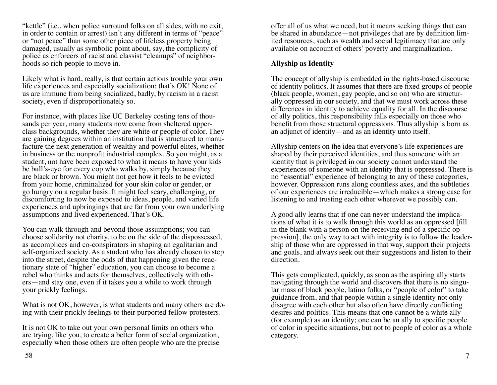"kettle" (i.e., when police surround folks on all sides, with no exit, in order to contain or arrest) isn't any different in terms of "peace" or "not peace" than some other piece of lifeless property being damaged, usually as symbolic point about, say, the complicity of police as enforcers of racist and classist "cleanups" of neighborhoods so rich people to move in.

Likely what is hard, really, is that certain actions trouble your own life experiences and especially socialization; that's OK! None of us are immune from being socialized, badly, by racism in a racist society, even if disproportionately so.

For instance, with places like UC Berkeley costing tens of thousands per year, many students now come from sheltered upperclass backgrounds, whether they are white or people of color. They are gaining degrees within an institution that is structured to manufacture the next generation of wealthy and powerful elites, whether in business or the nonprofit industrial complex. So you might, as a student, not have been exposed to what it means to have your kids be bull's-eye for every cop who walks by, simply because they are black or brown. You might not get how it feels to be evicted from your home, criminalized for your skin color or gender, or go hungry on a regular basis. It might feel scary, challenging, or discomforting to now be exposed to ideas, people, and varied life experiences and upbringings that are far from your own underlying assumptions and lived experienced. That's OK.

You can walk through and beyond those assumptions; you can choose solidarity not charity, to be on the side of the dispossessed, as accomplices and co-conspirators in shaping an egalitarian and self-organized society. As a student who has already chosen to step into the street, despite the odds of that happening given the reactionary state of "higher" education, you can choose to become a rebel who thinks and acts for themselves, collectively with others—and stay one, even if it takes you a while to work through your prickly feelings.

What is not OK, however, is what students and many others are doing with their prickly feelings to their purported fellow protesters.

It is not OK to take out your own personal limits on others who are trying, like you, to create a better form of social organization, especially when those others are often people who are the precise

offer all of us what we need, but it means seeking things that can be shared in abundance—not privileges that are by definition limited resources, such as wealth and social legitimacy that are only available on account of others' poverty and marginalization.

### **Allyship as Identity**

The concept of allyship is embedded in the rights-based discourse of identity politics. It assumes that there are fi xed groups of people (black people, women, gay people, and so on) who are structurally oppressed in our society, and that we must work across these differences in identity to achieve equality for all. In the discourse of ally politics, this responsibility falls especially on those who benefit from those structural oppressions. Thus allyship is born as an adjunct of identity—and as an identity unto itself.

Allyship centers on the idea that everyone's life experiences are shaped by their perceived identities, and thus someone with an identity that is privileged in our society cannot understand the experiences of someone with an identity that is oppressed. There is no "essential" experience of belonging to any of these categories, however. Oppression runs along countless axes, and the subtleties of our experiences are irreducible—which makes a strong case for listening to and trusting each other wherever we possibly can.

A good ally learns that if one can never understand the implications of what it is to walk through this world as an oppressed [fill] in the blank with a person on the receiving end of a specific oppression], the only way to act with integrity is to follow the leadership of those who are oppressed in that way, support their projects and goals, and always seek out their suggestions and listen to their direction.

This gets complicated, quickly, as soon as the aspiring ally starts navigating through the world and discovers that there is no singular mass of black people, latino folks, or "people of color" to take guidance from, and that people within a single identity not only disagree with each other but also often have directly conflicting desires and politics. This means that one cannot be a white ally (for example) as an identity; one can be an ally to specific people of color in specific situations, but not to people of color as a whole category.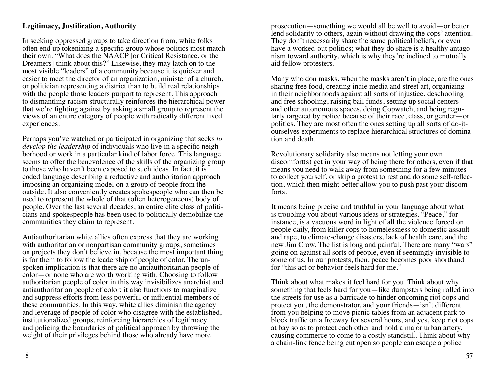### Legitimacy, Justification, Authority

In seeking oppressed groups to take direction from, white folks often end up tokenizing a specific group whose politics most match their own. "What does the NAACP [or Critical Resistance, or the Dreamers] think about this?" Likewise, they may latch on to the most visible "leaders" of a community because it is quicker and easier to meet the director of an organization, minister of a church, or politician representing a district than to build real relationships with the people those leaders purport to represent. This approach to dismantling racism structurally reinforces the hierarchical power that we're fighting against by asking a small group to represent the views of an entire category of people with radically different lived experiences.

Perhaps you've watched or participated in organizing that seeks *to develop the leadership* of individuals who live in a specific neighborhood or work in a particular kind of labor force. This language seems to offer the benevolence of the skills of the organizing group to those who haven't been exposed to such ideas. In fact, it is coded language describing a reductive and authoritarian approach imposing an organizing model on a group of people from the outside. It also conveniently creates spokespeople who can then be used to represent the whole of that (often heterogeneous) body of people. Over the last several decades, an entire elite class of politicians and spokespeople has been used to politically demobilize the communities they claim to represent.

Antiauthoritarian white allies often express that they are working with authoritarian or nonpartisan community groups, sometimes on projects they don't believe in, because the most important thing is for them to follow the leadership of people of color. The unspoken implication is that there are no antiauthoritarian people of color—or none who are worth working with. Choosing to follow authoritarian people of color in this way invisibilizes anarchist and antiauthoritarian people of color; it also functions to marginalize and suppress efforts from less powerful or influential members of these communities. In this way, white allies diminish the agency and leverage of people of color who disagree with the established, institutionalized groups, reinforcing hierarchies of legitimacy and policing the boundaries of political approach by throwing the weight of their privileges behind those who already have more

prosecution—something we would all be well to avoid—or better lend solidarity to others, again without drawing the cops' attention. They don't necessarily share the same political beliefs, or even have a worked-out politics; what they do share is a healthy antagonism toward authority, which is why they're inclined to mutually aid fellow protesters.

Many who don masks, when the masks aren't in place, are the ones sharing free food, creating indie media and street art, organizing in their neighborhoods against all sorts of injustice, deschooling and free schooling, raising bail funds, setting up social centers and other autonomous spaces, doing Copwatch, and being regularly targeted by police because of their race, class, or gender—or politics. They are most often the ones setting up all sorts of do-itourselves experiments to replace hierarchical structures of domination and death.

Revolutionary solidarity also means not letting your own discomfort(s) get in your way of being there for others, even if that means you need to walk away from something for a few minutes to collect yourself, or skip a protest to rest and do some self-reflection, which then might better allow you to push past your discomforts.

It means being precise and truthful in your language about what is troubling you about various ideas or strategies. "Peace," for instance, is a vacuous word in light of all the violence forced on people daily, from killer cops to homelessness to domestic assault and rape, to climate-change disasters, lack of health care, and the new Jim Crow. The list is long and painful. There are many "wars" going on against all sorts of people, even if seemingly invisible to some of us. In our protests, then, peace becomes poor shorthand for "this act or behavior feels hard for me."

Think about what makes it feel hard for you. Think about why something that feels hard for you—like dumpsters being rolled into the streets for use as a barricade to hinder oncoming riot cops and protect you, the demonstrator, and your friends—isn't different from you helping to move picnic tables from an adjacent park to block traffic on a freeway for several hours, and yes, keep riot cops at bay so as to protect each other and hold a major urban artery, causing commerce to come to a costly standstill. Think about why a chain-link fence being cut open so people can escape a police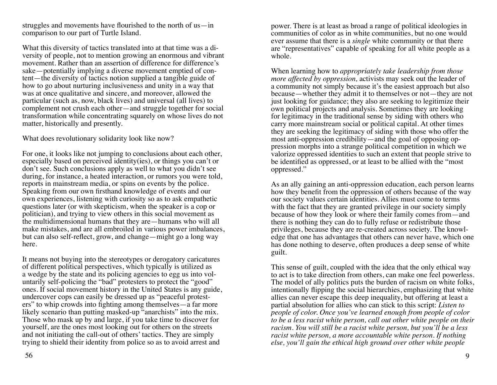struggles and movements have flourished to the north of  $us$ —in comparison to our part of Turtle Island.

What this diversity of tactics translated into at that time was a diversity of people, not to mention growing an enormous and vibrant movement. Rather than an assertion of difference for difference's sake—potentially implying a diverse movement emptied of content—the diversity of tactics notion supplied a tangible guide of how to go about nurturing inclusiveness and unity in a way that was at once qualitative and sincere, and moreover, allowed the particular (such as, now, black lives) and universal (all lives) to complement not crush each other—and struggle together for social transformation while concentrating squarely on whose lives do not matter, historically and presently.

What does revolutionary solidarity look like now?

For one, it looks like not jumping to conclusions about each other, especially based on perceived identity(ies), or things you can't or don't see. Such conclusions apply as well to what you didn't see during, for instance, a heated interaction, or rumors you were told, reports in mainstream media, or spins on events by the police. Speaking from our own firsthand knowledge of events and our own experiences, listening with curiosity so as to ask empathetic questions later (or with skepticism, when the speaker is a cop or politician), and trying to view others in this social movement as the multidimensional humans that they are—humans who will all make mistakes, and are all embroiled in various power imbalances, but can also self-reflect, grow, and change—might go a long way here.

It means not buying into the stereotypes or derogatory caricatures of different political perspectives, which typically is utilized as a wedge by the state and its policing agencies to egg us into voluntarily self-policing the "bad" protesters to protect the "good" ones. If social movement history in the United States is any guide, undercover cops can easily be dressed up as "peaceful protesters" to whip crowds into fighting among themselves—a far more likely scenario than putting masked-up "anarchists" into the mix. Those who mask up by and large, if you take time to discover for yourself, are the ones most looking out for others on the streets and not initiating the call-out of others' tactics. They are simply trying to shield their identity from police so as to avoid arrest and

power. There is at least as broad a range of political ideologies in communities of color as in white communities, but no one would ever assume that there is a *single* white community or that there are "representatives" capable of speaking for all white people as a whole.

When learning how to *appropriately take leadership from those more affected by oppression,* activists may seek out the leader of a community not simply because it's the easiest approach but also because—whether they admit it to themselves or not—they are not just looking for guidance; they also are seeking to legitimize their own political projects and analysis. Sometimes they are looking for legitimacy in the traditional sense by siding with others who carry more mainstream social or political capital. At other times they are seeking the legitimacy of siding with those who offer the most anti-oppression credibility—and the goal of opposing oppression morphs into a strange political competition in which we valorize oppressed identities to such an extent that people strive to be identified as oppressed, or at least to be allied with the "most" oppressed."

As an ally gaining an anti-oppression education, each person learns how they benefit from the oppression of others because of the way our society values certain identities. Allies must come to terms with the fact that they are granted privilege in our society simply because of how they look or where their family comes from—and there is nothing they can do to fully refuse or redistribute those privileges, because they are re-created across society. The knowledge that one has advantages that others can never have, which one has done nothing to deserve, often produces a deep sense of white guilt.

This sense of guilt, coupled with the idea that the only ethical way to act is to take direction from others, can make one feel powerless. The model of ally politics puts the burden of racism on white folks, intentionally flipping the social hierarchies, emphasizing that white allies can never escape this deep inequality, but offering at least a partial absolution for allies who can stick to this script: *Listen to people of color. Once you've learned enough from people of color to be a less racist white person, call out other white people on their racism. You will still be a racist white person, but you'll be a less racist white person, a more accountable white person. If nothing else, you'll gain the ethical high ground over other white people*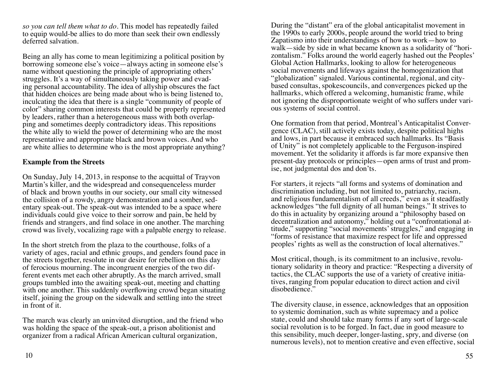*so you can tell them what to do.* This model has repeatedly failed to equip would-be allies to do more than seek their own endlessly deferred salvation.

Being an ally has come to mean legitimizing a political position by borrowing someone else's voice—always acting in someone else's name without questioning the principle of appropriating others' struggles. It's a way of simultaneously taking power and evading personal accountability. The idea of allyship obscures the fact that hidden choices are being made about who is being listened to, inculcating the idea that there is a single "community of people of color" sharing common interests that could be properly represented by leaders, rather than a heterogeneous mass with both overlapping and sometimes deeply contradictory ideas. This repositions the white ally to wield the power of determining who are the most representative and appropriate black and brown voices. And who are white allies to determine who is the most appropriate anything?

### **Example from the Streets**

On Sunday, July 14, 2013, in response to the acquittal of Trayvon Martin's killer, and the widespread and consequenceless murder of black and brown youths in our society, our small city witnessed the collision of a rowdy, angry demonstration and a somber, sedentary speak-out. The speak-out was intended to be a space where individuals could give voice to their sorrow and pain, be held by friends and strangers, and find solace in one another. The marching crowd was lively, vocalizing rage with a palpable energy to release.

In the short stretch from the plaza to the courthouse, folks of a variety of ages, racial and ethnic groups, and genders found pace in the streets together, resolute in our desire for rebellion on this day of ferocious mourning. The incongruent energies of the two different events met each other abruptly. As the march arrived, small groups tumbled into the awaiting speak-out, meeting and chatting with one another. This suddenly overflowing crowd began situating itself, joining the group on the sidewalk and settling into the street in front of it.

The march was clearly an uninvited disruption, and the friend who was holding the space of the speak-out, a prison abolitionist and organizer from a radical African American cultural organization,

During the "distant" era of the global anticapitalist movement in the 1990s to early 2000s, people around the world tried to bring Zapatismo into their understandings of how to work—how to walk—side by side in what became known as a solidarity of "horizontalism." Folks around the world eagerly hashed out the Peoples' Global Action Hallmarks, looking to allow for heterogeneous social movements and lifeways against the homogenization that "globalization" signaled. Various continental, regional, and citybased consultas, spokescouncils, and convergences picked up the hallmarks, which offered a welcoming, humanistic frame, while not ignoring the disproportionate weight of who suffers under various systems of social control.

One formation from that period, Montreal's Anticapitalist Convergence (CLAC), still actively exists today, despite political highs and lows, in part because it embraced such hallmarks. Its "Basis of Unity" is not completely applicable to the Ferguson-inspired movement. Yet the solidarity it affords is far more expansive then present-day protocols or principles—open arms of trust and promise, not judgmental dos and don'ts.

For starters, it rejects "all forms and systems of domination and discrimination including, but not limited to, patriarchy, racism, and religious fundamentalism of all creeds," even as it steadfastly acknowledges "the full dignity of all human beings." It strives to do this in actuality by organizing around a "philosophy based on decentralization and autonomy," holding out a "confrontational attitude," supporting "social movements' struggles," and engaging in "forms of resistance that maximize respect for life and oppressed peoples' rights as well as the construction of local alternatives."

Most critical, though, is its commitment to an inclusive, revolutionary solidarity in theory and practice: "Respecting a diversity of tactics, the CLAC supports the use of a variety of creative initiatives, ranging from popular education to direct action and civil disobedience."

The diversity clause, in essence, acknowledges that an opposition to systemic domination, such as white supremacy and a police state, could and should take many forms if any sort of large-scale social revolution is to be forged. In fact, due in good measure to this sensibility, much deeper, longer-lasting, spry, and diverse (on numerous levels), not to mention creative and even effective, social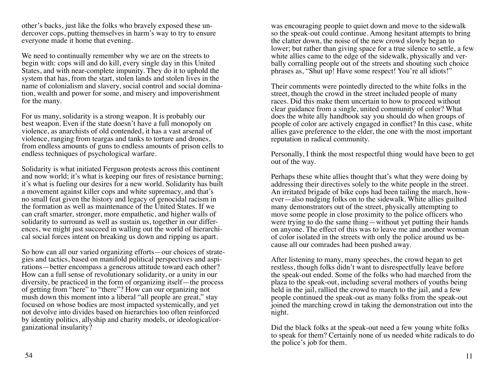other's backs, just like the folks who bravely exposed these undercover cops, putting themselves in harm's way to try to ensure everyone made it home that evening.

We need to continually remember why we are on the streets to begin with: cops will and do kill, every single day in this United States, and with near-complete impunity. They do it to uphold the system that has, from the start, stolen lands and stolen lives in the name of colonialism and slavery, social control and social domination, wealth and power for some, and misery and impoverishment for the many.

For us many, solidarity is a strong weapon. It is probably our best weapon. Even if the state doesn't have a full monopoly on violence, as anarchists of old contended, it has a vast arsenal of violence, ranging from teargas and tanks to torture and drones, from endless amounts of guns to endless amounts of prison cells to endless techniques of psychological warfare.

Solidarity is what initiated Ferguson protests across this continent and now world; it's what is keeping our fires of resistance burning; it's what is fueling our desires for a new world. Solidarity has built a movement against killer cops and white supremacy, and that's no small feat given the history and legacy of genocidal racism in the formation as well as maintenance of the United States. If we can craft smarter, stronger, more empathetic, and higher walls of solidarity to surround as well as sustain us, together in our differences, we might just succeed in walling out the world of hierarchical social forces intent on breaking us down and ripping us apart.

So how can all our varied organizing efforts—our choices of strategies and tactics, based on manifold political perspectives and aspirations—better encompass a generous attitude toward each other? How can a full sense of revolutionary solidarity, or a unity in our diversity, be practiced in the form of organizing itself—the process of getting from "here" to "there"? How can our organizing not mush down this moment into a liberal "all people are great," stay focused on whose bodies are most impacted systemically, and yet not devolve into divides based on hierarchies too often reinforced by identity politics, allyship and charity models, or ideological/organizational insularity?

was encouraging people to quiet down and move to the sidewalk so the speak-out could continue. Among hesitant attempts to bring the clatter down, the noise of the new crowd slowly began to lower; but rather than giving space for a true silence to settle, a few white allies came to the edge of the sidewalk, physically and verbally corralling people out of the streets and shouting such choice phrases as, "Shut up! Have some respect! You're all idiots!"

Their comments were pointedly directed to the white folks in the street, though the crowd in the street included people of many races. Did this make them uncertain to how to proceed without clear guidance from a single, united community of color? What does the white ally handbook say you should do when groups of people of color are actively engaged in conflict? In this case, white allies gave preference to the elder, the one with the most important reputation in radical community.

Personally, I think the most respectful thing would have been to get out of the way.

Perhaps these white allies thought that's what they were doing by addressing their directives solely to the white people in the street. An irritated brigade of bike cops had been tailing the march, however—also nudging folks on to the sidewalk. White allies guilted many demonstrators out of the street, physically attempting to move some people in close proximity to the police officers who were trying to do the same thing—without yet putting their hands on anyone. The effect of this was to leave me and another woman of color isolated in the streets with only the police around us because all our comrades had been pushed away.

After listening to many, many speeches, the crowd began to get restless, though folks didn't want to disrespectfully leave before the speak-out ended. Some of the folks who had marched from the plaza to the speak-out, including several mothers of youths being held in the jail, rallied the crowd to march to the jail, and a few people continued the speak-out as many folks from the speak-out joined the marching crowd in taking the demonstration out into the night.

Did the black folks at the speak-out need a few young white folks to speak for them? Certainly none of us needed white radicals to do the police's job for them.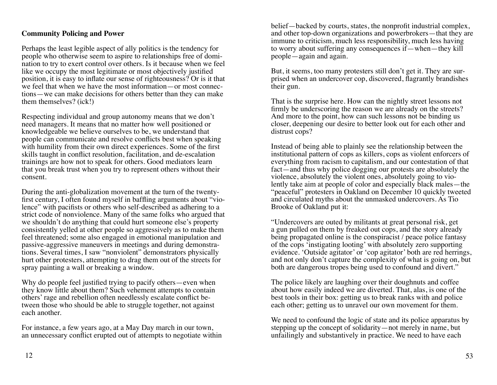### **Community Policing and Power**

Perhaps the least legible aspect of ally politics is the tendency for people who otherwise seem to aspire to relationships free of domination to try to exert control over others. Is it because when we feel like we occupy the most legitimate or most objectively justified position, it is easy to inflate our sense of righteousness? Or is it that we feel that when we have the most information—or most connections—we can make decisions for others better than they can make them themselves? (ick!)

Respecting individual and group autonomy means that we don't need managers. It means that no matter how well positioned or knowledgeable we believe ourselves to be, we understand that people can communicate and resolve conflicts best when speaking with humility from their own direct experiences. Some of the first skills taught in conflict resolution, facilitation, and de-escalation trainings are how not to speak for others. Good mediators learn that you break trust when you try to represent others without their consent.

During the anti-globalization movement at the turn of the twentyfirst century, I often found myself in baffling arguments about "violence" with pacifists or others who self-described as adhering to a strict code of nonviolence. Many of the same folks who argued that we shouldn't do anything that could hurt someone else's property consistently yelled at other people so aggressively as to make them feel threatened; some also engaged in emotional manipulation and passive-aggressive maneuvers in meetings and during demonstrations. Several times, I saw "nonviolent" demonstrators physically hurt other protesters, attempting to drag them out of the streets for spray painting a wall or breaking a window.

Why do people feel justified trying to pacify others—even when they know little about them? Such vehement attempts to contain others' rage and rebellion often needlessly escalate conflict between those who should be able to struggle together, not against each another.

For instance, a few years ago, at a May Day march in our town, an unnecessary conflict erupted out of attempts to negotiate within

belief—backed by courts, states, the nonprofit industrial complex, and other top-down organizations and powerbrokers—that they are immune to criticism, much less responsibility, much less having to worry about suffering any consequences if—when—they kill people—again and again.

But, it seems, too many protesters still don't get it. They are surprised when an undercover cop, discovered, flagrantly brandishes their gun.

That is the surprise here. How can the nightly street lessons not firmly be underscoring the reason we are already on the streets? And more to the point, how can such lessons not be binding us closer, deepening our desire to better look out for each other and distrust cops?

Instead of being able to plainly see the relationship between the institutional pattern of cops as killers, cops as violent enforcers of everything from racism to capitalism, and our contestation of that fact—and thus why police dogging our protests are absolutely the violence, absolutely the violent ones, absolutely going to violently take aim at people of color and especially black males—the "peaceful" protesters in Oakland on December 10 quickly tweeted and circulated myths about the unmasked undercovers. As Tio Brooke of Oakland put it:

"Undercovers are outed by militants at great personal risk, get a gun pulled on them by freaked out cops, and the story already being propagated online is the conspiracist / peace police fantasy of the cops 'instigating looting' with absolutely zero supporting evidence. 'Outside agitator' or 'cop agitator' both are red herrings, and not only don't capture the complexity of what is going on, but both are dangerous tropes being used to confound and divert."

The police likely are laughing over their doughnuts and coffee about how easily indeed we are diverted. That, alas, is one of the best tools in their box: getting us to break ranks with and police each other; getting us to unravel our own movement for them.

We need to confound the logic of state and its police apparatus by stepping up the concept of solidarity—not merely in name, but unfailingly and substantively in practice. We need to have each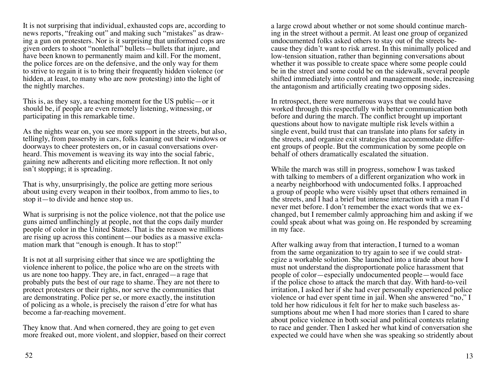It is not surprising that individual, exhausted cops are, according to news reports, "freaking out" and making such "mistakes" as drawing a gun on protesters. Nor is it surprising that uniformed cops are given orders to shoot "nonlethal" bullets—bullets that injure, and have been known to permanently maim and kill. For the moment, the police forces are on the defensive, and the only way for them to strive to regain it is to bring their frequently hidden violence (or hidden, at least, to many who are now protesting) into the light of the nightly marches.

This is, as they say, a teaching moment for the US public—or it should be, if people are even remotely listening, witnessing, or participating in this remarkable time.

As the nights wear on, you see more support in the streets, but also, tellingly, from passersby in cars, folks leaning out their windows or doorways to cheer protesters on, or in casual conversations overheard. This movement is weaving its way into the social fabric, gaining new adherents and eliciting more reflection. It not only isn't stopping; it is spreading.

That is why, unsurprisingly, the police are getting more serious about using every weapon in their toolbox, from ammo to lies, to stop it—to divide and hence stop us.

What is surprising is not the police violence, not that the police use guns aimed unflinchingly at people, not that the cops daily murder people of color in the United States. That is the reason we millions are rising up across this continent—our bodies as a massive exclamation mark that "enough is enough. It has to stop!"

It is not at all surprising either that since we are spotlighting the violence inherent to police, the police who are on the streets with us are none too happy. They are, in fact, enraged—a rage that probably puts the best of our rage to shame. They are not there to protect protesters or their rights, nor serve the communities that are demonstrating. Police per se, or more exactly, the institution of policing as a whole, is precisely the raison d'etre for what has become a far-reaching movement.

They know that. And when cornered, they are going to get even more freaked out, more violent, and sloppier, based on their correct

a large crowd about whether or not some should continue marching in the street without a permit. At least one group of organized undocumented folks asked others to stay out of the streets because they didn't want to risk arrest. In this minimally policed and low-tension situation, rather than beginning conversations about whether it was possible to create space where some people could be in the street and some could be on the sidewalk, several people shifted immediately into control and management mode, increasing the antagonism and artificially creating two opposing sides.

In retrospect, there were numerous ways that we could have worked through this respectfully with better communication both before and during the march. The conflict brought up important questions about how to navigate multiple risk levels within a single event, build trust that can translate into plans for safety in the streets, and organize exit strategies that accommodate different groups of people. But the communication by some people on behalf of others dramatically escalated the situation.

While the march was still in progress, somehow I was tasked with talking to members of a different organization who work in a nearby neighborhood with undocumented folks. I approached a group of people who were visibly upset that others remained in the streets, and I had a brief but intense interaction with a man I'd never met before. I don't remember the exact words that we exchanged, but I remember calmly approaching him and asking if we could speak about what was going on. He responded by screaming in my face.

After walking away from that interaction, I turned to a woman from the same organization to try again to see if we could strategize a workable solution. She launched into a tirade about how I must not understand the disproportionate police harassment that people of color—especially undocumented people—would face if the police chose to attack the march that day. With hard-to-veil irritation, I asked her if she had ever personally experienced police violence or had ever spent time in jail. When she answered "no," I told her how ridiculous it felt for her to make such baseless assumptions about me when I had more stories than I cared to share about police violence in both social and political contexts relating to race and gender. Then I asked her what kind of conversation she expected we could have when she was speaking so stridently about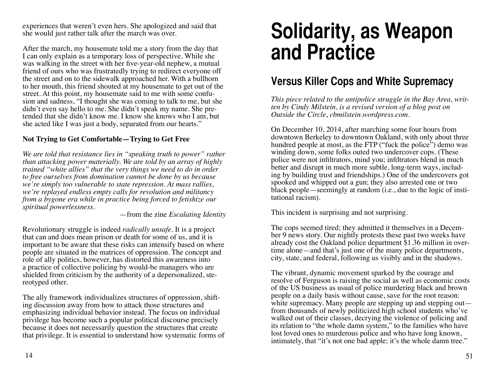experiences that weren't even hers. She apologized and said that she would just rather talk after the march was over.

After the march, my housemate told me a story from the day that I can only explain as a temporary loss of perspective. While she was walking in the street with her five-year-old nephew, a mutual friend of ours who was frustratedly trying to redirect everyone off the street and on to the sidewalk approached her. With a bullhorn to her mouth, this friend shouted at my housemate to get out of the street. At this point, my housemate said to me with some confusion and sadness, "I thought she was coming to talk to me, but she didn't even say hello to me. She didn't speak my name. She pretended that she didn't know me. I know she knows who I am, but she acted like I was just a body, separated from our hearts."

### **Not Trying to Get Comfortable—Trying to Get Free**

*We are told that resistance lies in "speaking truth to power" rather than attacking power materially. We are told by an array of highly trained "white allies" that the very things we need to do in order to free ourselves from domination cannot be done by us because we're simply too vulnerable to state repression. At mass rallies, we're replayed endless empty calls for revolution and militancy from a bygone era while in practice being forced to fetishize our spiritual powerlessness.* 

—from the zine *Escalating Identity*

Revolutionary struggle is indeed *radically unsafe*. It is a project that can and does mean prison or death for some of us, and it is important to be aware that these risks can intensify based on where people are situated in the matrices of oppression. The concept and role of ally politics, however, has distorted this awareness into a practice of collective policing by would-be managers who are shielded from criticism by the authority of a depersonalized, stereotyped other.

The ally framework individualizes structures of oppression, shifting discussion away from how to attack those structures and emphasizing individual behavior instead. The focus on individual privilege has become such a popular political discourse precisely because it does not necessarily question the structures that create that privilege. It is essential to understand how systematic forms of

### **Solidarity, as Weapon and Practice**

### **Versus Killer Cops and White Supremacy**

*This piece related to the antipolice struggle in the Bay Area, written by Cindy Milstein, is a revised version of a blog post on Outside the Circle*, *cbmilstein.wordpress.com.*

On December 10, 2014, after marching some four hours from downtown Berkeley to downtown Oakland, with only about three hundred people at most, as the FTP ("fuck the police") demo was winding down, some folks outed two undercover cops. (These police were not infiltrators, mind you; infiltrators blend in much better and disrupt in much more subtle, long-term ways, including by building trust and friendships.) One of the undercovers got spooked and whipped out a gun; they also arrested one or two black people—seemingly at random (i.e., due to the logic of institutional racism).

This incident is surprising and not surprising.

The cops seemed tired; they admitted it themselves in a December 9 news story. Our nightly protests these past two weeks have already cost the Oakland police department \$1.36 million in overtime alone—and that's just one of the many police departments, city, state, and federal, following us visibly and in the shadows.

The vibrant, dynamic movement sparked by the courage and resolve of Ferguson is raising the social as well as economic costs of the US business as usual of police murdering black and brown people on a daily basis without cause, save for the root reason: white supremacy. Many people are stepping up and stepping out from thousands of newly politicized high school students who've walked out of their classes, decrying the violence of policing and its relation to "the whole damn system," to the families who have lost loved ones to murderous police and who have long known, intimately, that "it's not one bad apple; it's the whole damn tree."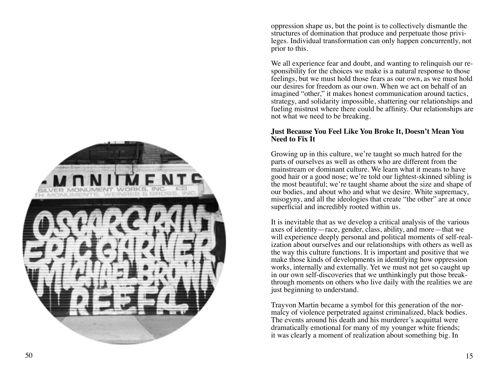

oppression shape us, but the point is to collectively dismantle the structures of domination that produce and perpetuate those privileges. Individual transformation can only happen concurrently, not prior to this.

We all experience fear and doubt, and wanting to relinquish our responsibility for the choices we make is a natural response to those feelings, but we must hold those fears as our own, as we must hold our desires for freedom as our own. When we act on behalf of an imagined "other," it makes honest communication around tactics, strategy, and solidarity impossible, shattering our relationships and fueling mistrust where there could be affinity. Our relationships are not what we need to be breaking.

#### **Just Because You Feel Like You Broke It, Doesn't Mean You Need to Fix It**

Growing up in this culture, we're taught so much hatred for the parts of ourselves as well as others who are different from the mainstream or dominant culture. We learn what it means to have good hair or a good nose; we're told our lightest-skinned sibling is the most beautiful; we're taught shame about the size and shape of our bodies, and about who and what we desire. White supremacy, misogyny, and all the ideologies that create "the other" are at once superficial and incredibly rooted within us.

It is inevitable that as we develop a critical analysis of the various axes of identity—race, gender, class, ability, and more—that we will experience deeply personal and political moments of self-realization about ourselves and our relationships with others as well as the way this culture functions. It is important and positive that we make those kinds of developments in identifying how oppression works, internally and externally. Yet we must not get so caught up in our own self-discoveries that we unthinkingly put those breakthrough moments on others who live daily with the realities we are just beginning to understand.

Trayvon Martin became a symbol for this generation of the normalcy of violence perpetrated against criminalized, black bodies. The events around his death and his murderer's acquittal were dramatically emotional for many of my younger white friends; it was clearly a moment of realization about something big. In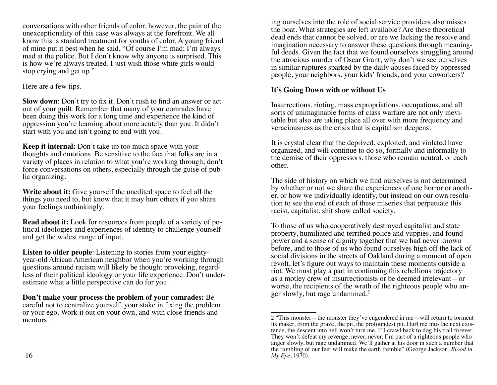conversations with other friends of color, however, the pain of the unexceptionality of this case was always at the forefront. We all know this is standard treatment for youths of color. A young friend of mine put it best when he said, "Of course I'm mad; I'm always mad at the police. But I don't know why anyone is surprised. This is how we're always treated. I just wish those white girls would stop crying and get up."

Here are a few tips.

**Slow down:** Don't try to fix it. Don't rush to find an answer or act out of your guilt. Remember that many of your comrades have been doing this work for a long time and experience the kind of oppression you're learning about more acutely than you. It didn't start with you and isn't going to end with you.

**Keep it internal:** Don't take up too much space with your thoughts and emotions. Be sensitive to the fact that folks are in a variety of places in relation to what you're working through; don't force conversations on others, especially through the guise of public organizing.

**Write about it:** Give yourself the unedited space to feel all the things you need to, but know that it may hurt others if you share your feelings unthinkingly.

**Read about it:** Look for resources from people of a variety of political ideologies and experiences of identity to challenge yourself and get the widest range of input.

**Listen to older people**: Listening to stories from your eightyyear-old African American neighbor when you're working through questions around racism will likely be thought provoking, regardless of their political ideology or your life experience. Don't underestimate what a little perspective can do for you.

**Don't make your process the problem of your comrades:** Be careful not to centralize yourself, your stake in fixing the problem, or your ego. Work it out on your own, and with close friends and mentors.

ing ourselves into the role of social service providers also misses the boat. What strategies are left available? Are these theoretical dead ends that cannot be solved, or are we lacking the resolve and imagination necessary to answer these questions through meaningful deeds. Given the fact that we found ourselves struggling around the atrocious murder of Oscar Grant, why don't we see ourselves in similar ruptures sparked by the daily abuses faced by oppressed people, your neighbors, your kids' friends, and your coworkers?

### **It's Going Down with or without Us**

Insurrections, rioting, mass expropriations, occupations, and all sorts of unimaginable forms of class warfare are not only inevitable but also are taking place all over with more frequency and veraciousness as the crisis that is capitalism deepens.

It is crystal clear that the deprived, exploited, and violated have organized, and will continue to do so, formally and informally to the demise of their oppressors, those who remain neutral, or each other.

The side of history on which we find ourselves is not determined by whether or not we share the experiences of one horror or another, or how we individually identify, but instead on our own resolution to see the end of each of these miseries that perpetuate this racist, capitalist, shit show called society.

To those of us who cooperatively destroyed capitalist and state property, humiliated and terrified police and yuppies, and found power and a sense of dignity together that we had never known before, and to those of us who found ourselves high off the lack of social divisions in the streets of Oakland during a moment of open revolt, let's figure out ways to maintain these moments outside a riot. We must play a part in continuing this rebellious trajectory as a motley crew of insurrectionists or be deemed irrelevant—or worse, the recipients of the wrath of the righteous people who anger slowly, but rage undammed.<sup>2</sup>

<sup>2</sup> "This monster—the monster they've engendered in me—will return to torment its maker, from the grave, the pit, the profoundest pit. Hurl me into the next existence, the descent into hell won't turn me. I'll crawl back to dog his trail forever. They won't defeat my revenge, never, never. I'm part of a righteous people who anger slowly, but rage undammed. We'll gather at his door in such a number that the rumbling of our feet will make the earth tremble" (George Jackson, *Blood in My Eye*, 1970).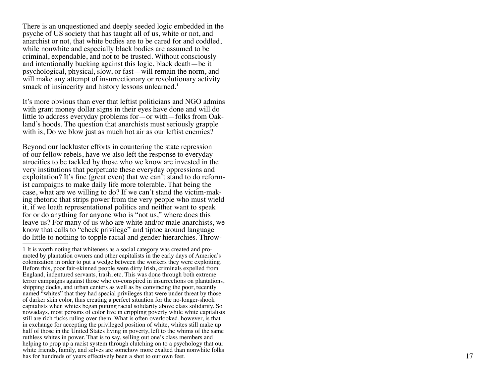There is an unquestioned and deeply seeded logic embedded in the psyche of US society that has taught all of us, white or not, and anarchist or not, that white bodies are to be cared for and coddled, while nonwhite and especially black bodies are assumed to be criminal, expendable, and not to be trusted. Without consciously and intentionally bucking against this logic, black death—be it psychological, physical, slow, or fast—will remain the norm, and will make any attempt of insurrectionary or revolutionary activity smack of insincerity and history lessons unlearned.<sup>1</sup>

It's more obvious than ever that leftist politicians and NGO admins with grant money dollar signs in their eyes have done and will do little to address everyday problems for—or with—folks from Oakland's hoods. The question that anarchists must seriously grapple with is, Do we blow just as much hot air as our leftist enemies?

Beyond our lackluster efforts in countering the state repression of our fellow rebels, have we also left the response to everyday atrocities to be tackled by those who we know are invested in the very institutions that perpetuate these everyday oppressions and exploitation? It's fine (great even) that we can't stand to do reformist campaigns to make daily life more tolerable. That being the case, what are we willing to do? If we can't stand the victim-making rhetoric that strips power from the very people who must wield it, if we loath representational politics and neither want to speak for or do anything for anyone who is "not us," where does this leave us? For many of us who are white and/or male anarchists, we know that calls to "check privilege" and tiptoe around language do little to nothing to topple racial and gender hierarchies. Throw-

<sup>1</sup> It is worth noting that whiteness as a social category was created and promoted by plantation owners and other capitalists in the early days of America's colonization in order to put a wedge between the workers they were exploiting. Before this, poor fair-skinned people were dirty Irish, criminals expelled from England, indentured servants, trash, etc. This was done through both extreme terror campaigns against those who co-conspired in insurrections on plantations, shipping docks, and urban centers as well as by convincing the poor, recently named "whites" that they had special privileges that were under threat by those of darker skin color, thus creating a perfect situation for the no-longer-shook capitalists when whites began putting racial solidarity above class solidarity. So nowadays, most persons of color live in crippling poverty while white capitalists still are rich fucks ruling over them. What is often overlooked, however, is that in exchange for accepting the privileged position of white, whites still make up half of those in the United States living in poverty, left to the whims of the same ruthless whites in power. That is to say, selling out one's class members and helping to prop up a racist system through clutching on to a psychology that our white friends, family, and selves are somehow more exalted than nonwhite folks has for hundreds of years effectively been a shot to our own feet. 17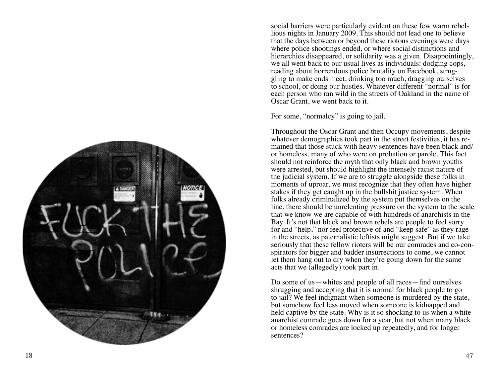

social barriers were particularly evident on these few warm rebellious nights in January 2009. This should not lead one to believe that the days between or beyond these riotous evenings were days where police shootings ended, or where social distinctions and hierarchies disappeared, or solidarity was a given. Disappointingly, we all went back to our usual lives as individuals: dodging cops, reading about horrendous police brutality on Facebook, struggling to make ends meet, drinking too much, dragging ourselves to school, or doing our hustles. Whatever different "normal" is for each person who ran wild in the streets of Oakland in the name of Oscar Grant, we went back to it.

For some, "normalcy" is going to jail.

Throughout the Oscar Grant and then Occupy movements, despite whatever demographics took part in the street festivities, it has remained that those stuck with heavy sentences have been black and/ or homeless, many of who were on probation or parole. This fact should not reinforce the myth that only black and brown youths were arrested, but should highlight the intensely racist nature of the judicial system. If we are to struggle alongside these folks in moments of uproar, we must recognize that they often have higher stakes if they get caught up in the bullshit justice system. When folks already criminalized by the system put themselves on the line, there should be unrelenting pressure on the system to the scale that we know we are capable of with hundreds of anarchists in the Bay. It's not that black and brown rebels are people to feel sorry for and "help," nor feel protective of and "keep safe" as they rage in the streets, as paternalistic leftists might suggest. But if we take seriously that these fellow rioters will be our comrades and co-conspirators for bigger and badder insurrections to come, we cannot let them hang out to dry when they're going down for the same acts that we  $\bar{a}$  (allegedly) took part in.

Do some of us—whites and people of all races—find ourselves shrugging and accepting that it is normal for black people to go to jail? We feel indignant when someone is murdered by the state, but somehow feel less moved when someone is kidnapped and held captive by the state. Why is it so shocking to us when a white anarchist comrade goes down for a year, but not when many black or homeless comrades are locked up repeatedly, and for longer sentences?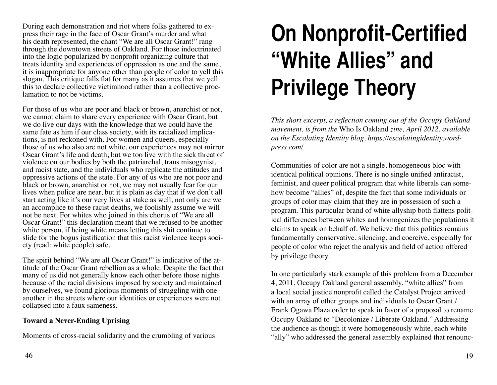During each demonstration and riot where folks gathered to express their rage in the face of Oscar Grant's murder and what his death represented, the chant "We are all Oscar Grant!" rang through the downtown streets of Oakland. For those indoctrinated into the logic popularized by nonprofit organizing culture that treats identity and experiences of oppression as one and the same, it is inappropriate for anyone other than people of color to yell this slogan. This critique falls flat for many as it assumes that we yell this to declare collective victimhood rather than a collective proclamation to not be victims.

For those of us who are poor and black or brown, anarchist or not, we cannot claim to share every experience with Oscar Grant, but we do live our days with the knowledge that we could have the same fate as him if our class society, with its racialized implications, is not reckoned with. For women and queers, especially those of us who also are not white, our experiences may not mirror Oscar Grant's life and death, but we too live with the sick threat of violence on our bodies by both the patriarchal, trans misogynist, and racist state, and the individuals who replicate the attitudes and oppressive actions of the state. For any of us who are not poor and black or brown, anarchist or not, we may not usually fear for our lives when police are near, but it is plain as day that if we don't all start acting like it's our very lives at stake as well, not only are we an accomplice to these racist deaths, we foolishly assume we will not be next. For whites who joined in this chorus of "We are all Oscar Grant!" this declaration meant that we refused to be another white person, if being white means letting this shit continue to slide for the bogus justification that this racist violence keeps soci-ety (read: white people) safe.

The spirit behind "We are all Oscar Grant!" is indicative of the attitude of the Oscar Grant rebellion as a whole. Despite the fact that many of us did not generally know each other before those nights because of the racial divisions imposed by society and maintained by ourselves, we found glorious moments of struggling with one another in the streets where our identities or experiences were not collapsed into a faux sameness.

### **Toward a Never-Ending Uprising**

Moments of cross-racial solidarity and the crumbling of various

# **On Nonprofit-Certified "White Allies" and Privilege Theory**

*This short excerpt, a reflection coming out of the Occupy Oakland movement, is from the* Who Is Oakland *zine, April 2012, available on the Escalating Identity blog, https://escalatingidentity.wordpress.com/*

Communities of color are not a single, homogeneous bloc with identical political opinions. There is no single unified antiracist, feminist, and queer political program that white liberals can somehow become "allies" of, despite the fact that some individuals or groups of color may claim that they are in possession of such a program. This particular brand of white allyship both flattens political differences between whites and homogenizes the populations it claims to speak on behalf of. We believe that this politics remains fundamentally conservative, silencing, and coercive, especially for people of color who reject the analysis and field of action offered by privilege theory.

In one particularly stark example of this problem from a December 4, 2011, Occupy Oakland general assembly, "white allies" from a local social justice nonprofit called the Catalyst Project arrived with an array of other groups and individuals to Oscar Grant / Frank Ogawa Plaza order to speak in favor of a proposal to rename Occupy Oakland to "Decolonize / Liberate Oakland." Addressing the audience as though it were homogeneously white, each white "ally" who addressed the general assembly explained that renounc-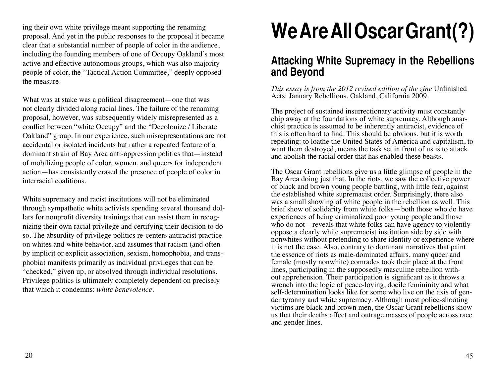ing their own white privilege meant supporting the renaming proposal. And yet in the public responses to the proposal it became clear that a substantial number of people of color in the audience, including the founding members of one of Occupy Oakland's most active and effective autonomous groups, which was also majority people of color, the "Tactical Action Committee," deeply opposed the measure.

What was at stake was a political disagreement—one that was not clearly divided along racial lines. The failure of the renaming proposal, however, was subsequently widely misrepresented as a conflict between "white Occupy" and the "Decolonize / Liberate Oakland" group. In our experience, such misrepresentations are not accidental or isolated incidents but rather a repeated feature of a dominant strain of Bay Area anti-oppression politics that—instead of mobilizing people of color, women, and queers for independent action—has consistently erased the presence of people of color in interracial coalitions.

White supremacy and racist institutions will not be eliminated through sympathetic white activists spending several thousand dollars for nonprofit diversity trainings that can assist them in recognizing their own racial privilege and certifying their decision to do so. The absurdity of privilege politics re-centers antiracist practice on whites and white behavior, and assumes that racism (and often by implicit or explicit association, sexism, homophobia, and transphobia) manifests primarily as individual privileges that can be "checked," given up, or absolved through individual resolutions. Privilege politics is ultimately completely dependent on precisely that which it condemns: *white benevolence.*

# **We Are All Oscar Grant(?)**

### **Attacking White Supremacy in the Rebellions and Beyond**

*This essay is from the 2012 revised edition of the zine Unfinished* Acts: January Rebellions, Oakland, California 2009.

The project of sustained insurrectionary activity must constantly chip away at the foundations of white supremacy. Although anarchist practice is assumed to be inherently antiracist, evidence of this is often hard to find. This should be obvious, but it is worth repeating: to loathe the United States of America and capitalism, to want them destroyed, means the task set in front of us is to attack and abolish the racial order that has enabled these beasts.

The Oscar Grant rebellions give us a little glimpse of people in the Bay Area doing just that. In the riots, we saw the collective power of black and brown young people battling, with little fear, against the established white supremacist order. Surprisingly, there also was a small showing of white people in the rebellion as well. This brief show of solidarity from white folks—both those who do have experiences of being criminalized poor young people and those who do not—reveals that white folks can have agency to violently oppose a clearly white supremacist institution side by side with nonwhites without pretending to share identity or experience where it is not the case. Also, contrary to dominant narratives that paint the essence of riots as male-dominated affairs, many queer and female (mostly nonwhite) comrades took their place at the front lines, participating in the supposedly masculine rebellion without apprehension. Their participation is significant as it throws a wrench into the logic of peace-loving, docile femininity and what self-determination looks like for some who live on the axis of gender tyranny and white supremacy. Although most police-shooting victims are black and brown men, the Oscar Grant rebellions show us that their deaths affect and outrage masses of people across race and gender lines.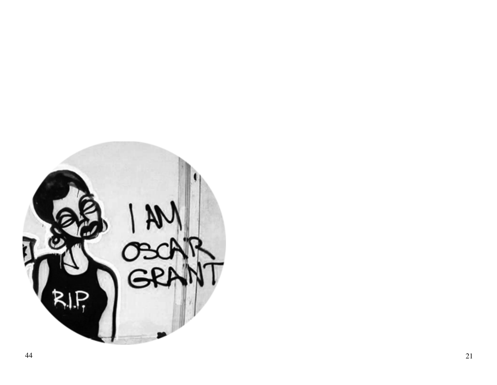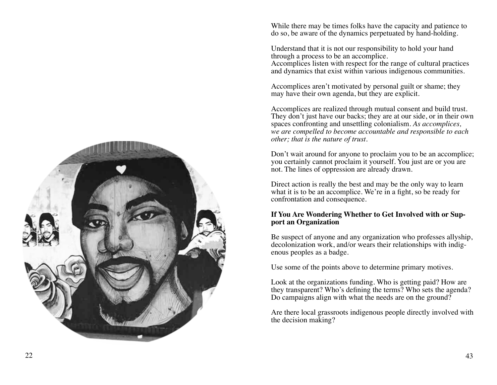

While there may be times folks have the capacity and patience to do so, be aware of the dynamics perpetuated by hand-holding.

Understand that it is not our responsibility to hold your hand through a process to be an accomplice.

Accomplices listen with respect for the range of cultural practices and dynamics that exist within various indigenous communities.

Accomplices aren't motivated by personal guilt or shame; they may have their own agenda, but they are explicit.

Accomplices are realized through mutual consent and build trust. They don't just have our backs; they are at our side, or in their own spaces confronting and unsettling colonialism. *As accomplices, we are compelled to become accountable and responsible to each other; that is the nature of trust.* 

Don't wait around for anyone to proclaim you to be an accomplice; you certainly cannot proclaim it yourself. You just are or you are not. The lines of oppression are already drawn.

Direct action is really the best and may be the only way to learn what it is to be an accomplice. We're in a fight, so be ready for confrontation and consequence.

### **If You Are Wondering Whether to Get Involved with or Support an Organization**

Be suspect of anyone and any organization who professes allyship, decolonization work, and/or wears their relationships with indigenous peoples as a badge.

Use some of the points above to determine primary motives.

Look at the organizations funding. Who is getting paid? How are they transparent? Who's defining the terms? Who sets the agenda? Do campaigns align with what the needs are on the ground?

Are there local grassroots indigenous people directly involved with the decision making?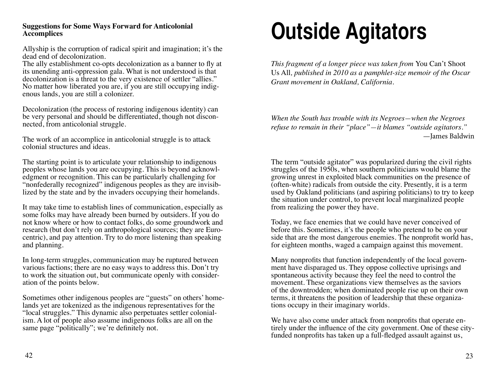#### **Suggestions for Some Ways Forward for Anticolonial Accomplices**

Allyship is the corruption of radical spirit and imagination; it's the dead end of decolonization.

The ally establishment co-opts decolonization as a banner to fly at its unending anti-oppression gala. What is not understood is that decolonization is a threat to the very existence of settler "allies." No matter how liberated you are, if you are still occupying indigenous lands, you are still a colonizer.

Decolonization (the process of restoring indigenous identity) can be very personal and should be differentiated, though not disconnected, from anticolonial struggle.

The work of an accomplice in anticolonial struggle is to attack colonial structures and ideas.

The starting point is to articulate your relationship to indigenous peoples whose lands you are occupying. This is beyond acknowledgment or recognition. This can be particularly challenging for "nonfederally recognized" indigenous peoples as they are invisiblized by the state and by the invaders occupying their homelands.

It may take time to establish lines of communication, especially as some folks may have already been burned by outsiders. If you do not know where or how to contact folks, do some groundwork and research (but don't rely on anthropological sources; they are Eurocentric), and pay attention. Try to do more listening than speaking and planning.

In long-term struggles, communication may be ruptured between various factions; there are no easy ways to address this. Don't try to work the situation out, but communicate openly with consideration of the points below.

Sometimes other indigenous peoples are "guests" on others' homelands yet are tokenized as the indigenous representatives for the "local struggles." This dynamic also perpetuates settler colonialism. A lot of people also assume indigenous folks are all on the same page "politically"; we're definitely not.

# **Outside Agitators**

*This fragment of a longer piece was taken from* You Can't Shoot Us All*, published in 2010 as a pamphlet-size memoir of the Oscar Grant movement in Oakland, California.*

*When the South has trouble with its Negroes—when the Negroes refuse to remain in their "place"—it blames "outside agitators."* —James Baldwin

The term "outside agitator" was popularized during the civil rights struggles of the 1950s, when southern politicians would blame the growing unrest in exploited black communities on the presence of (often-white) radicals from outside the city. Presently, it is a term used by Oakland politicians (and aspiring politicians) to try to keep the situation under control, to prevent local marginalized people from realizing the power they have.

Today, we face enemies that we could have never conceived of before this. Sometimes, it's the people who pretend to be on your side that are the most dangerous enemies. The nonprofit world has, for eighteen months, waged a campaign against this movement.

Many nonprofits that function independently of the local government have disparaged us. They oppose collective uprisings and spontaneous activity because they feel the need to control the movement. These organizations view themselves as the saviors of the downtrodden; when dominated people rise up on their own terms, it threatens the position of leadership that these organizations occupy in their imaginary worlds.

We have also come under attack from nonprofits that operate entirely under the influence of the city government. One of these cityfunded nonprofits has taken up a full-fledged assault against us,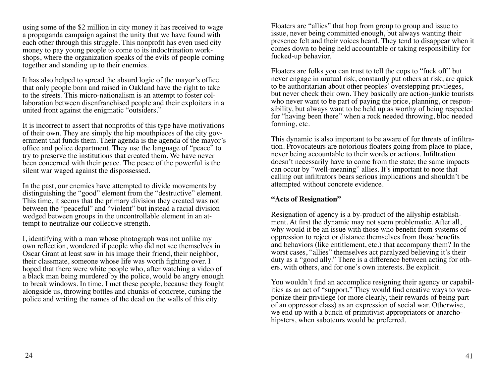using some of the \$2 million in city money it has received to wage a propaganda campaign against the unity that we have found with each other through this struggle. This nonprofit has even used city money to pay young people to come to its indoctrination workshops, where the organization speaks of the evils of people coming together and standing up to their enemies.

It has also helped to spread the absurd logic of the mayor's office that only people born and raised in Oakland have the right to take to the streets. This micro-nationalism is an attempt to foster collaboration between disenfranchised people and their exploiters in a united front against the enigmatic "outsiders."

It is incorrect to assert that nonprofits of this type have motivations of their own. They are simply the hip mouthpieces of the city government that funds them. Their agenda is the agenda of the mayor's office and police department. They use the language of "peace" to try to preserve the institutions that created them. We have never been concerned with their peace. The peace of the powerful is the silent war waged against the dispossessed.

In the past, our enemies have attempted to divide movements by distinguishing the "good" element from the "destructive" element. This time, it seems that the primary division they created was not between the "peaceful" and "violent" but instead a racial division wedged between groups in the uncontrollable element in an attempt to neutralize our collective strength.

I, identifying with a man whose photograph was not unlike my own reflection, wondered if people who did not see themselves in Oscar Grant at least saw in his image their friend, their neighbor, their classmate, someone whose life was worth fighting over. I hoped that there were white people who, after watching a video of a black man being murdered by the police, would be angry enough to break windows. In time, I met these people, because they fought alongside us, throwing bottles and chunks of concrete, cursing the police and writing the names of the dead on the walls of this city.

Floaters are "allies" that hop from group to group and issue to issue, never being committed enough, but always wanting their presence felt and their voices heard. They tend to disappear when it comes down to being held accountable or taking responsibility for fucked-up behavior.

Floaters are folks you can trust to tell the cops to "fuck off" but never engage in mutual risk, constantly put others at risk, are quick to be authoritarian about other peoples' overstepping privileges, but never check their own. They basically are action-junkie tourists who never want to be part of paying the price, planning, or responsibility, but always want to be held up as worthy of being respected for "having been there" when a rock needed throwing, bloc needed forming, etc.

This dynamic is also important to be aware of for threats of infiltration. Provocateurs are notorious floaters going from place to place, never being accountable to their words or actions. Infiltration doesn't necessarily have to come from the state; the same impacts can occur by "well-meaning" allies. It's important to note that calling out infiltrators bears serious implications and shouldn't be attempted without concrete evidence.

#### **"Acts of Resignation"**

Resignation of agency is a by-product of the allyship establishment. At first the dynamic may not seem problematic. After all, why would it be an issue with those who benefit from systems of oppression to reject or distance themselves from those benefits and behaviors (like entitlement, etc.) that accompany them? In the worst cases, "allies" themselves act paralyzed believing it's their duty as a "good ally." There is a difference between acting for others, with others, and for one's own interests. Be explicit.

You wouldn't find an accomplice resigning their agency or capabilities as an act of "support." They would find creative ways to weaponize their privilege (or more clearly, their rewards of being part of an oppressor class) as an expression of social war. Otherwise, we end up with a bunch of primitivist appropriators or anarchohipsters, when saboteurs would be preferred.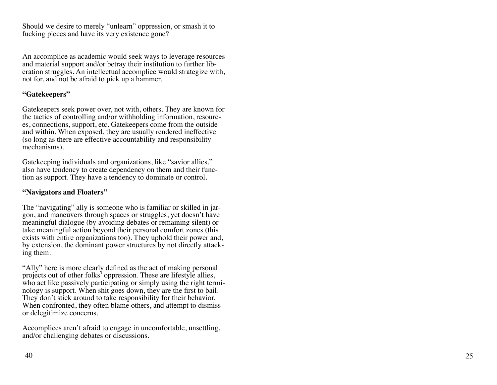Should we desire to merely "unlearn" oppression, or smash it to fucking pieces and have its very existence gone?

An accomplice as academic would seek ways to leverage resources and material support and/or betray their institution to further liberation struggles. An intellectual accomplice would strategize with, not for, and not be afraid to pick up a hammer.

### **"Gatekeepers"**

Gatekeepers seek power over, not with, others. They are known for the tactics of controlling and/or withholding information, resources, connections, support, etc. Gatekeepers come from the outside and within. When exposed, they are usually rendered ineffective (so long as there are effective accountability and responsibility mechanisms).

Gatekeeping individuals and organizations, like "savior allies," also have tendency to create dependency on them and their function as support. They have a tendency to dominate or control.

### **"Navigators and Floaters"**

The "navigating" ally is someone who is familiar or skilled in jargon, and maneuvers through spaces or struggles, yet doesn't have meaningful dialogue (by avoiding debates or remaining silent) or take meaningful action beyond their personal comfort zones (this exists with entire organizations too). They uphold their power and, by extension, the dominant power structures by not directly attacking them.

"Ally" here is more clearly defined as the act of making personal projects out of other folks' oppression. These are lifestyle allies, who act like passively participating or simply using the right terminology is support. When shit goes down, they are the first to bail. They don't stick around to take responsibility for their behavior. When confronted, they often blame others, and attempt to dismiss or delegitimize concerns.

Accomplices aren't afraid to engage in uncomfortable, unsettling, and/or challenging debates or discussions.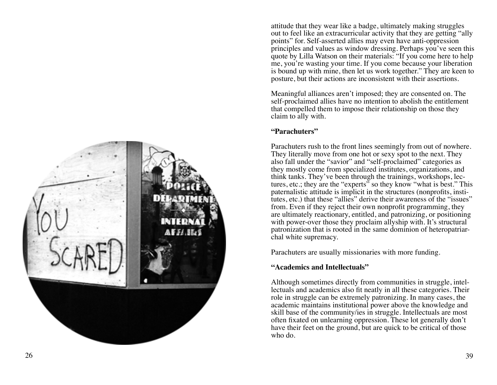

attitude that they wear like a badge, ultimately making struggles out to feel like an extracurricular activity that they are getting "ally points" for. Self-asserted allies may even have anti-oppression principles and values as window dressing. Perhaps you've seen this quote by Lilla Watson on their materials: "If you come here to help me, you're wasting your time. If you come because your liberation is bound up with mine, then let us work together." They are keen to posture, but their actions are inconsistent with their assertions.

Meaningful alliances aren't imposed; they are consented on. The self-proclaimed allies have no intention to abolish the entitlement that compelled them to impose their relationship on those they claim to ally with.

#### **"Parachuters"**

Parachuters rush to the front lines seemingly from out of nowhere. They literally move from one hot or sexy spot to the next. They also fall under the "savior" and "self-proclaimed" categories as they mostly come from specialized institutes, organizations, and think tanks. They've been through the trainings, workshops, lectures, etc.; they are the "experts" so they know "what is best." This paternalistic attitude is implicit in the structures (nonprofits, institutes, etc.) that these "allies" derive their awareness of the "issues" from. Even if they reject their own nonprofit programming, they are ultimately reactionary, entitled, and patronizing, or positioning with power-over those they proclaim allyship with. It's structural patronization that is rooted in the same dominion of heteropatriarchal white supremacy.

Parachuters are usually missionaries with more funding.

#### **"Academics and Intellectuals"**

Although sometimes directly from communities in struggle, intellectuals and academics also fit neatly in all these categories. Their role in struggle can be extremely patronizing. In many cases, the academic maintains institutional power above the knowledge and skill base of the community/ies in struggle. Intellectuals are most often fi xated on unlearning oppression. These lot generally don't have their feet on the ground, but are quick to be critical of those who do.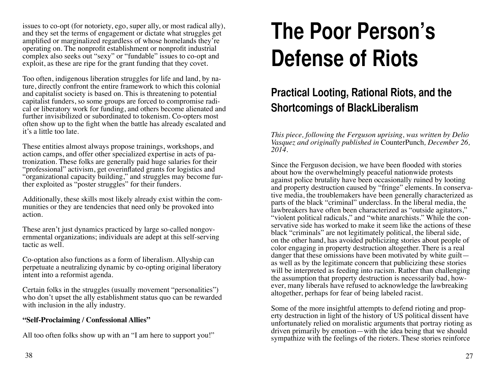issues to co-opt (for notoriety, ego, super ally, or most radical ally), and they set the terms of engagement or dictate what struggles get amplified or marginalized regardless of whose homelands they're operating on. The nonprofit establishment or nonprofit industrial complex also seeks out "sexy" or "fundable" issues to co-opt and exploit, as these are ripe for the grant funding that they covet.

Too often, indigenous liberation struggles for life and land, by nature, directly confront the entire framework to which this colonial and capitalist society is based on. This is threatening to potential capitalist funders, so some groups are forced to compromise radical or liberatory work for funding, and others become alienated and further invisibilized or subordinated to tokenism. Co-opters most often show up to the fight when the battle has already escalated and it's a little too late.

These entities almost always propose trainings, workshops, and action camps, and offer other specialized expertise in acts of patronization. These folks are generally paid huge salaries for their "professional" activism, get overinflated grants for logistics and "organizational capacity building," and struggles may become further exploited as "poster struggles" for their funders.

Additionally, these skills most likely already exist within the communities or they are tendencies that need only be provoked into action.

These aren't just dynamics practiced by large so-called nongovernmental organizations; individuals are adept at this self-serving tactic as well.

Co-optation also functions as a form of liberalism. Allyship can perpetuate a neutralizing dynamic by co-opting original liberatory intent into a reformist agenda.

Certain folks in the struggles (usually movement "personalities") who don't upset the ally establishment status quo can be rewarded with inclusion in the ally industry.

### **"Self-Proclaiming / Confessional Allies"**

All too often folks show up with an "I am here to support you!"

# **The Poor Person's Defense of Riots**

### **Practical Looting, Rational Riots, and the Shortcomings of BlackLiberalism**

*This piece, following the Ferguson uprising, was written by Delio Vasquez and originally published in* CounterPunch*, December 26, 2014.*

Since the Ferguson decision, we have been flooded with stories about how the overwhelmingly peaceful nationwide protests against police brutality have been occasionally ruined by looting and property destruction caused by "fringe" elements. In conservative media, the troublemakers have been generally characterized as parts of the black "criminal" underclass. In the liberal media, the lawbreakers have often been characterized as "outside agitators," "violent political radicals," and "white anarchists." While the conservative side has worked to make it seem like the actions of these black "criminals" are not legitimately political, the liberal side, on the other hand, has avoided publicizing stories about people of color engaging in property destruction altogether. There is a real danger that these omissions have been motivated by white guilt as well as by the legitimate concern that publicizing these stories will be interpreted as feeding into racism. Rather than challenging the assumption that property destruction is necessarily bad, however, many liberals have refused to acknowledge the lawbreaking altogether, perhaps for fear of being labeled racist.

Some of the more insightful attempts to defend rioting and property destruction in light of the history of US political dissent have unfortunately relied on moralistic arguments that portray rioting as driven primarily by emotion—with the idea being that we should sympathize with the feelings of the rioters. These stories reinforce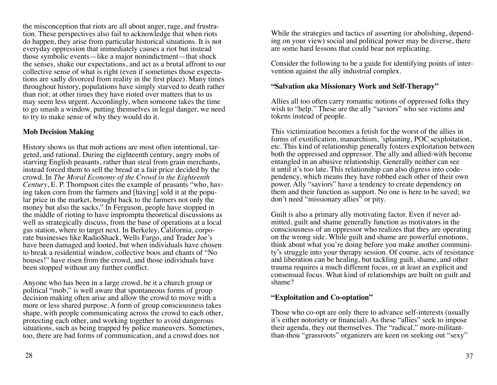the misconception that riots are all about anger, rage, and frustration. These perspectives also fail to acknowledge that when riots do happen, they arise from particular historical situations. It is not everyday oppression that immediately causes a riot but instead those symbolic events—like a major nonindictment—that shock the senses, shake our expectations, and act as a brutal affront to our collective sense of what is right (even if sometimes those expectations are sadly divorced from reality in the first place). Many times throughout history, populations have simply starved to death rather than riot; at other times they have rioted over matters that to us may seem less urgent. Accordingly, when someone takes the time to go smash a window, putting themselves in legal danger, we need to try to make sense of why they would do it.

### **Mob Decision Making**

History shows us that mob actions are most often intentional, targeted, and rational. During the eighteenth century, angry mobs of starving English peasants, rather than steal from grain merchants, instead forced them to sell the bread at a fair price decided by the crowd. In *The Moral Economy of the Crowd in the Eighteenth Century*, E. P. Thompson cites the example of peasants "who, having taken corn from the farmers and [having] sold it at the popular price in the market, brought back to the farmers not only the money but also the sacks." In Ferguson, people have stopped in the middle of rioting to have impromptu theoretical discussions as well as strategically discuss, from the base of operations at a local gas station, where to target next. In Berkeley, California, corporate businesses like RadioShack, Wells Fargo, and Trader Joe's have been damaged and looted, but when individuals have chosen to break a residential window, collective boos and chants of "No houses!" have risen from the crowd, and those individuals have been stopped without any further conflict.

Anyone who has been in a large crowd, be it a church group or political "mob," is well aware that spontaneous forms of group decision making often arise and allow the crowd to move with a more or less shared purpose. A form of group consciousness takes shape, with people communicating across the crowd to each other, protecting each other, and working together to avoid dangerous situations, such as being trapped by police maneuvers. Sometimes, too, there are bad forms of communication, and a crowd does not

While the strategies and tactics of asserting (or abolishing, depending on your view) social and political power may be diverse, there are some hard lessons that could bear not replicating.

Consider the following to be a guide for identifying points of intervention against the ally industrial complex.

### **"Salvation aka Missionary Work and Self-Therapy"**

Allies all too often carry romantic notions of oppressed folks they wish to "help." These are the ally "saviors" who see victims and tokens instead of people.

This victimization becomes a fetish for the worst of the allies in forms of exotification, manarchism, 'splaining, POC sexploitation, etc. This kind of relationship generally fosters exploitation between both the oppressed and oppressor. The ally and allied-with become entangled in an abusive relationship. Generally neither can see it until it's too late. This relationship can also digress into codependency, which means they have robbed each other of their own power. Ally "saviors" have a tendency to create dependency on them and their function as support. No one is here to be saved; we don't need "missionary allies" or pity.

Guilt is also a primary ally motivating factor. Even if never admitted, guilt and shame generally function as motivators in the consciousness of an oppressor who realizes that they are operating on the wrong side. While guilt and shame are powerful emotions, think about what you're doing before you make another community's struggle into your therapy session. Of course, acts of resistance and liberation can be healing, but tackling guilt, shame, and other trauma requires a much different focus, or at least an explicit and consensual focus. What kind of relationships are built on guilt and shame?

### **"Exploitation and Co-optation"**

Those who co-opt are only there to advance self-interests (usually it's either notoriety or financial). As these "allies" seek to impose their agenda, they out themselves. The "radical," more-militantthan-thou "grassroots" organizers are keen on seeking out "sexy"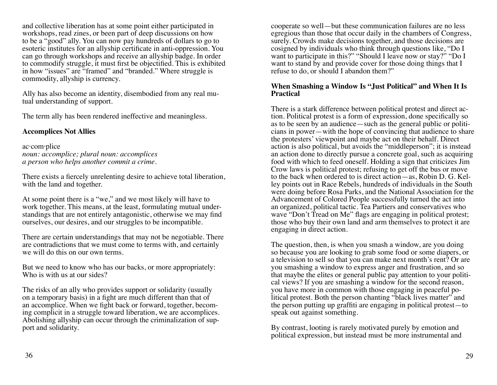and collective liberation has at some point either participated in workshops, read zines, or been part of deep discussions on how to be a "good" ally. You can now pay hundreds of dollars to go to esoteric institutes for an allyship certificate in anti-oppression. You can go through workshops and receive an allyship badge. In order to commodify struggle, it must first be objectified. This is exhibited in how "issues" are "framed" and "branded." Where struggle is commodity, allyship is currency.

Ally has also become an identity, disembodied from any real mutual understanding of support.

The term ally has been rendered ineffective and meaningless.

#### **Accomplices Not Allies**

ac·com·plice *noun: accomplice; plural noun: accomplices a person who helps another commit a crime.*

There exists a fiercely unrelenting desire to achieve total liberation, with the land and together.

At some point there is a "we," and we most likely will have to work together. This means, at the least, formulating mutual understandings that are not entirely antagonistic, otherwise we may find ourselves, our desires, and our struggles to be incompatible.

There are certain understandings that may not be negotiable. There are contradictions that we must come to terms with, and certainly we will do this on our own terms.

But we need to know who has our backs, or more appropriately: Who is with us at our sides?

The risks of an ally who provides support or solidarity (usually on a temporary basis) in a fight are much different than that of an accomplice. When we fight back or forward, together, becoming complicit in a struggle toward liberation, we are accomplices. Abolishing allyship can occur through the criminalization of support and solidarity.

cooperate so well—but these communication failures are no less egregious than those that occur daily in the chambers of Congress, surely. Crowds make decisions together, and those decisions are cosigned by individuals who think through questions like, "Do I want to participate in this?" "Should I leave now or stay?" "Do I want to stand by and provide cover for those doing things that I refuse to do, or should I abandon them?"

#### **When Smashing a Window Is "Just Political" and When It Is Practical**

There is a stark difference between political protest and direct action. Political protest is a form of expression, done specifically so as to be seen by an audience—such as the general public or politicians in power—with the hope of convincing that audience to share the protesters' viewpoint and maybe act on their behalf. Direct action is also political, but avoids the "middleperson"; it is instead an action done to directly pursue a concrete goal, such as acquiring food with which to feed oneself. Holding a sign that criticizes Jim Crow laws is political protest; refusing to get off the bus or move to the back when ordered to is direct action—as, Robin D. G. Kelley points out in Race Rebels, hundreds of individuals in the South were doing before Rosa Parks, and the National Association for the Advancement of Colored People successfully turned the act into an organized, political tactic. Tea Partiers and conservatives who wave "Don't Tread on Me" flags are engaging in political protest; those who buy their own land and arm themselves to protect it are engaging in direct action.

The question, then, is when you smash a window, are you doing so because you are looking to grab some food or some diapers, or a television to sell so that you can make next month's rent? Or are you smashing a window to express anger and frustration, and so that maybe the elites or general public pay attention to your political views? If you are smashing a window for the second reason, you have more in common with those engaging in peaceful political protest. Both the person chanting "black lives matter" and the person putting up graffiti are engaging in political protest—to speak out against something.

By contrast, looting is rarely motivated purely by emotion and political expression, but instead must be more instrumental and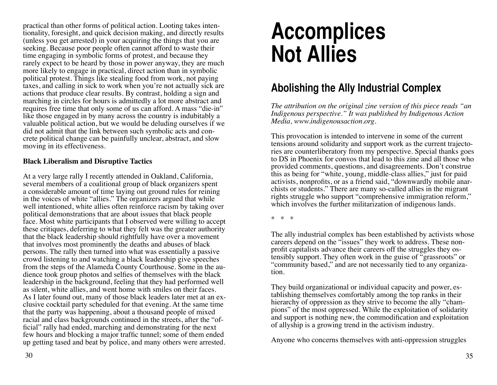practical than other forms of political action. Looting takes intentionality, foresight, and quick decision making, and directly results (unless you get arrested) in your acquiring the things that you are seeking. Because poor people often cannot afford to waste their time engaging in symbolic forms of protest, and because they rarely expect to be heard by those in power anyway, they are much more likely to engage in practical, direct action than in symbolic political protest. Things like stealing food from work, not paying taxes, and calling in sick to work when you're not actually sick are actions that produce clear results. By contrast, holding a sign and marching in circles for hours is admittedly a lot more abstract and requires free time that only some of us can afford. A mass "die-in" like those engaged in by many across the country is indubitably a valuable political action, but we would be deluding ourselves if we did not admit that the link between such symbolic acts and concrete political change can be painfully unclear, abstract, and slow moving in its effectiveness.

### **Black Liberalism and Disruptive Tactics**

At a very large rally I recently attended in Oakland, California, several members of a coalitional group of black organizers spent a considerable amount of time laying out ground rules for reining in the voices of white "allies." The organizers argued that while well intentioned, white allies often reinforce racism by taking over political demonstrations that are about issues that black people face. Most white participants that I observed were willing to accept these critiques, deferring to what they felt was the greater authority that the black leadership should rightfully have over a movement that involves most prominently the deaths and abuses of black persons. The rally then turned into what was essentially a passive crowd listening to and watching a black leadership give speeches from the steps of the Alameda County Courthouse. Some in the audience took group photos and selfies of themselves with the black leadership in the background, feeling that they had performed well as silent, white allies, and went home with smiles on their faces. As I later found out, many of those black leaders later met at an exclusive cocktail party scheduled for that evening. At the same time that the party was happening, about a thousand people of mixed racial and class backgrounds continued in the streets, after the "official" rally had ended, marching and demonstrating for the next few hours and blocking a major traffic tunnel; some of them ended up getting tased and beat by police, and many others were arrested.

### **Accomplices Not Allies**

### **Abolishing the Ally Industrial Complex**

*The attribution on the original zine version of this piece reads "an Indigenous perspective." It was published by Indigenous Action Media, www.indigenousaction.org.*

This provocation is intended to intervene in some of the current tensions around solidarity and support work as the current trajectories are counterliberatory from my perspective. Special thanks goes to DS in Phoenix for convos that lead to this zine and all those who provided comments, questions, and disagreements. Don't construe this as being for "white, young, middle-class allies," just for paid activists, nonprofits, or as a friend said, "downwardly mobile anarchists or students." There are many so-called allies in the migrant rights struggle who support "comprehensive immigration reform," which involves the further militarization of indigenous lands.

\* \* \*

The ally industrial complex has been established by activists whose careers depend on the "issues" they work to address. These nonprofit capitalists advance their careers off the struggles they ostensibly support. They often work in the guise of "grassroots" or "community based," and are not necessarily tied to any organization.

They build organizational or individual capacity and power, establishing themselves comfortably among the top ranks in their hierarchy of oppression as they strive to become the ally "champions" of the most oppressed. While the exploitation of solidarity and support is nothing new, the commodification and exploitation of allyship is a growing trend in the activism industry.

Anyone who concerns themselves with anti-oppression struggles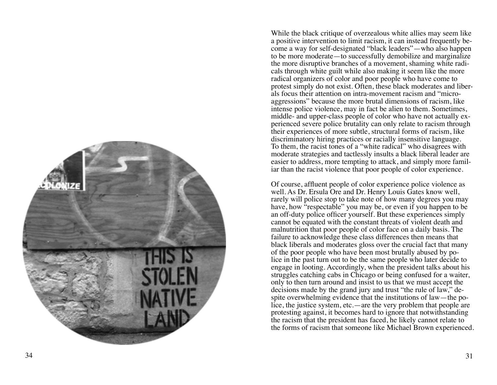

While the black critique of overzealous white allies may seem like a positive intervention to limit racism, it can instead frequently become a way for self-designated "black leaders"—who also happen to be more moderate—to successfully demobilize and marginalize the more disruptive branches of a movement, shaming white radicals through white guilt while also making it seem like the more radical organizers of color and poor people who have come to protest simply do not exist. Often, these black moderates and liberals focus their attention on intra-movement racism and "microaggressions" because the more brutal dimensions of racism, like intense police violence, may in fact be alien to them. Sometimes, middle- and upper-class people of color who have not actually experienced severe police brutality can only relate to racism through their experiences of more subtle, structural forms of racism, like discriminatory hiring practices or racially insensitive language. To them, the racist tones of a "white radical" who disagrees with moderate strategies and tactlessly insults a black liberal leader are easier to address, more tempting to attack, and simply more familiar than the racist violence that poor people of color experience.

Of course, affluent people of color experience police violence as well. As Dr. Ersula Ore and Dr. Henry Louis Gates know well, rarely will police stop to take note of how many degrees you may have, how "respectable" you may be, or even if you happen to be an off-duty police officer yourself. But these experiences simply cannot be equated with the constant threats of violent death and malnutrition that poor people of color face on a daily basis. The failure to acknowledge these class differences then means that black liberals and moderates gloss over the crucial fact that many of the poor people who have been most brutally abused by police in the past turn out to be the same people who later decide to engage in looting. Accordingly, when the president talks about his struggles catching cabs in Chicago or being confused for a waiter, only to then turn around and insist to us that we must accept the decisions made by the grand jury and trust "the rule of law," despite overwhelming evidence that the institutions of law—the police, the justice system, etc.—are the very problem that people are protesting against, it becomes hard to ignore that notwithstanding the racism that the president has faced, he likely cannot relate to the forms of racism that someone like Michael Brown experienced.